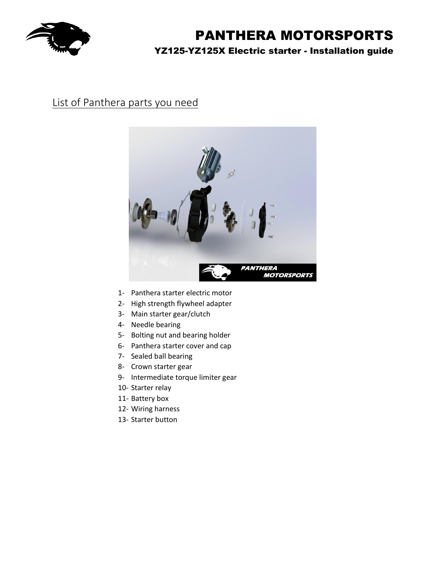

## List of Panthera parts you need



- 1- Panthera starter electric motor
- 2- High strength flywheel adapter
- 3- Main starter gear/clutch
- 4- Needle bearing
- 5- Bolting nut and bearing holder
- 6- Panthera starter cover and cap
- 7- Sealed ball bearing
- 8- Crown starter gear
- 9- Intermediate torque limiter gear
- 10- Starter relay
- 11- Battery box
- 12- Wiring harness
- 13- Starter button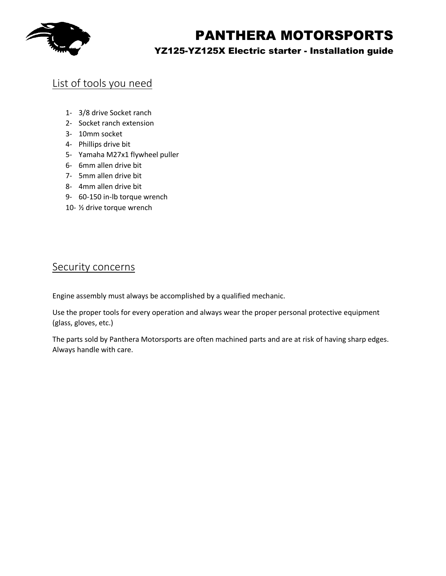

# PANTHERA MOTORSPORTS

### YZ125-YZ125X Electric starter - Installation guide

### List of tools you need

- 1- 3/8 drive Socket ranch
- 2- Socket ranch extension
- 3- 10mm socket
- 4- Phillips drive bit
- 5- Yamaha M27x1 flywheel puller
- 6- 6mm allen drive bit
- 7- 5mm allen drive bit
- 8- 4mm allen drive bit
- 9- 60-150 in-lb torque wrench
- 10- ½ drive torque wrench

### Security concerns

Engine assembly must always be accomplished by a qualified mechanic.

Use the proper tools for every operation and always wear the proper personal protective equipment (glass, gloves, etc.)

The parts sold by Panthera Motorsports are often machined parts and are at risk of having sharp edges. Always handle with care.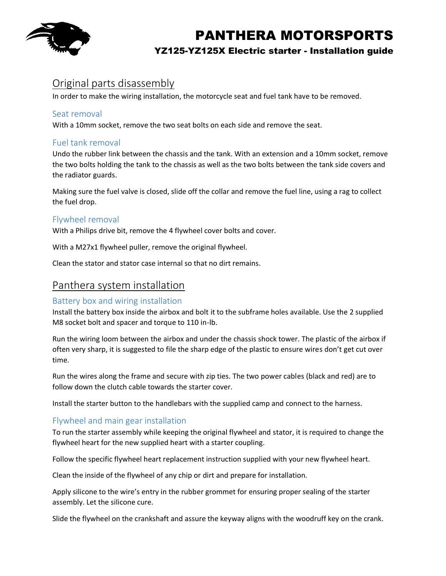

### Original parts disassembly

In order to make the wiring installation, the motorcycle seat and fuel tank have to be removed.

#### Seat removal

With a 10mm socket, remove the two seat bolts on each side and remove the seat.

#### Fuel tank removal

Undo the rubber link between the chassis and the tank. With an extension and a 10mm socket, remove the two bolts holding the tank to the chassis as well as the two bolts between the tank side covers and the radiator guards.

Making sure the fuel valve is closed, slide off the collar and remove the fuel line, using a rag to collect the fuel drop.

#### Flywheel removal

With a Philips drive bit, remove the 4 flywheel cover bolts and cover.

With a M27x1 flywheel puller, remove the original flywheel.

Clean the stator and stator case internal so that no dirt remains.

### Panthera system installation

#### Battery box and wiring installation

Install the battery box inside the airbox and bolt it to the subframe holes available. Use the 2 supplied M8 socket bolt and spacer and torque to 110 in-lb.

Run the wiring loom between the airbox and under the chassis shock tower. The plastic of the airbox if often very sharp, it is suggested to file the sharp edge of the plastic to ensure wires don't get cut over time.

Run the wires along the frame and secure with zip ties. The two power cables (black and red) are to follow down the clutch cable towards the starter cover.

Install the starter button to the handlebars with the supplied camp and connect to the harness.

#### Flywheel and main gear installation

To run the starter assembly while keeping the original flywheel and stator, it is required to change the flywheel heart for the new supplied heart with a starter coupling.

Follow the specific flywheel heart replacement instruction supplied with your new flywheel heart.

Clean the inside of the flywheel of any chip or dirt and prepare for installation.

Apply silicone to the wire's entry in the rubber grommet for ensuring proper sealing of the starter assembly. Let the silicone cure.

Slide the flywheel on the crankshaft and assure the keyway aligns with the woodruff key on the crank.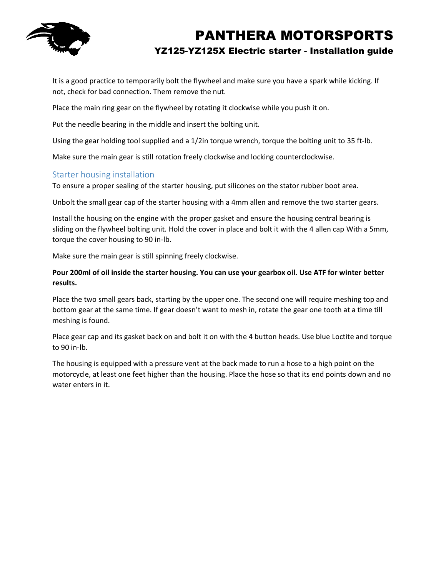

It is a good practice to temporarily bolt the flywheel and make sure you have a spark while kicking. If not, check for bad connection. Them remove the nut.

Place the main ring gear on the flywheel by rotating it clockwise while you push it on.

Put the needle bearing in the middle and insert the bolting unit.

Using the gear holding tool supplied and a 1/2in torque wrench, torque the bolting unit to 35 ft-lb.

Make sure the main gear is still rotation freely clockwise and locking counterclockwise.

#### Starter housing installation

To ensure a proper sealing of the starter housing, put silicones on the stator rubber boot area.

Unbolt the small gear cap of the starter housing with a 4mm allen and remove the two starter gears.

Install the housing on the engine with the proper gasket and ensure the housing central bearing is sliding on the flywheel bolting unit. Hold the cover in place and bolt it with the 4 allen cap With a 5mm, torque the cover housing to 90 in-lb.

Make sure the main gear is still spinning freely clockwise.

**Pour 200ml of oil inside the starter housing. You can use your gearbox oil. Use ATF for winter better results.**

Place the two small gears back, starting by the upper one. The second one will require meshing top and bottom gear at the same time. If gear doesn't want to mesh in, rotate the gear one tooth at a time till meshing is found.

Place gear cap and its gasket back on and bolt it on with the 4 button heads. Use blue Loctite and torque to 90 in-lb.

The housing is equipped with a pressure vent at the back made to run a hose to a high point on the motorcycle, at least one feet higher than the housing. Place the hose so that its end points down and no water enters in it.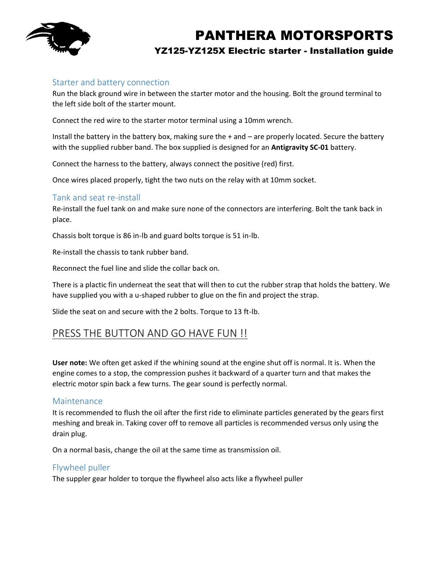

#### Starter and battery connection

Run the black ground wire in between the starter motor and the housing. Bolt the ground terminal to the left side bolt of the starter mount.

Connect the red wire to the starter motor terminal using a 10mm wrench.

Install the battery in the battery box, making sure the + and – are properly located. Secure the battery with the supplied rubber band. The box supplied is designed for an **Antigravity SC-01** battery.

Connect the harness to the battery, always connect the positive (red) first.

Once wires placed properly, tight the two nuts on the relay with at 10mm socket.

#### Tank and seat re-install

Re-install the fuel tank on and make sure none of the connectors are interfering. Bolt the tank back in place.

Chassis bolt torque is 86 in-lb and guard bolts torque is 51 in-lb.

Re-install the chassis to tank rubber band.

Reconnect the fuel line and slide the collar back on.

There is a plactic fin underneat the seat that will then to cut the rubber strap that holds the battery. We have supplied you with a u-shaped rubber to glue on the fin and project the strap.

Slide the seat on and secure with the 2 bolts. Torque to 13 ft-lb.

### PRESS THE BUTTON AND GO HAVE FUN !!

**User note:** We often get asked if the whining sound at the engine shut off is normal. It is. When the engine comes to a stop, the compression pushes it backward of a quarter turn and that makes the electric motor spin back a few turns. The gear sound is perfectly normal.

#### Maintenance

It is recommended to flush the oil after the first ride to eliminate particles generated by the gears first meshing and break in. Taking cover off to remove all particles is recommended versus only using the drain plug.

On a normal basis, change the oil at the same time as transmission oil.

#### Flywheel puller

The suppler gear holder to torque the flywheel also acts like a flywheel puller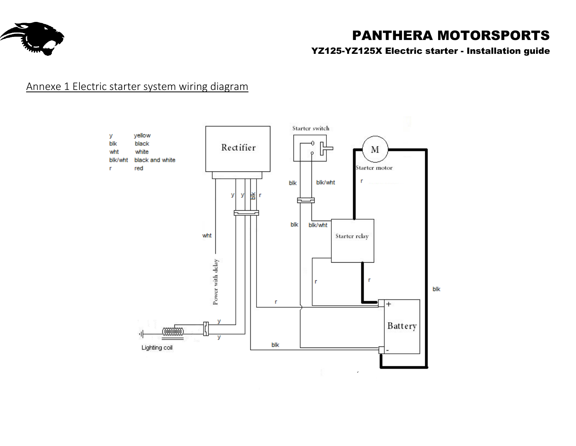

# PANTHERA MOTORSPORTS

YZ125-YZ125X Electric starter - Installation guide

## Annexe 1 Electric starter system wiring diagram

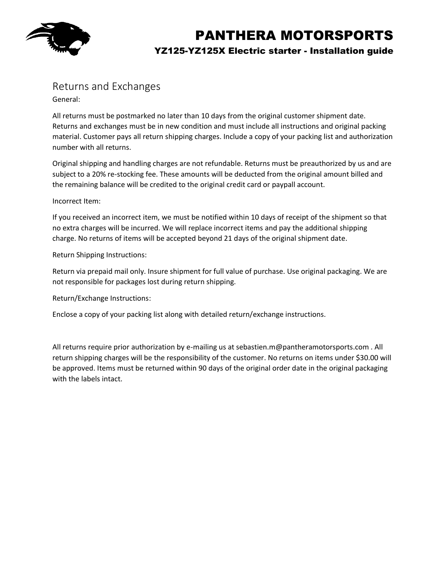

### Returns and Exchanges

General:

All returns must be postmarked no later than 10 days from the original customer shipment date. Returns and exchanges must be in new condition and must include all instructions and original packing material. Customer pays all return shipping charges. Include a copy of your packing list and authorization number with all returns.

Original shipping and handling charges are not refundable. Returns must be preauthorized by us and are subject to a 20% re-stocking fee. These amounts will be deducted from the original amount billed and the remaining balance will be credited to the original credit card or paypall account.

#### Incorrect Item:

If you received an incorrect item, we must be notified within 10 days of receipt of the shipment so that no extra charges will be incurred. We will replace incorrect items and pay the additional shipping charge. No returns of items will be accepted beyond 21 days of the original shipment date.

Return Shipping Instructions:

Return via prepaid mail only. Insure shipment for full value of purchase. Use original packaging. We are not responsible for packages lost during return shipping.

Return/Exchange Instructions:

Enclose a copy of your packing list along with detailed return/exchange instructions.

All returns require prior authorization by e-mailing us at sebastien.m@pantheramotorsports.com . All return shipping charges will be the responsibility of the customer. No returns on items under \$30.00 will be approved. Items must be returned within 90 days of the original order date in the original packaging with the labels intact.